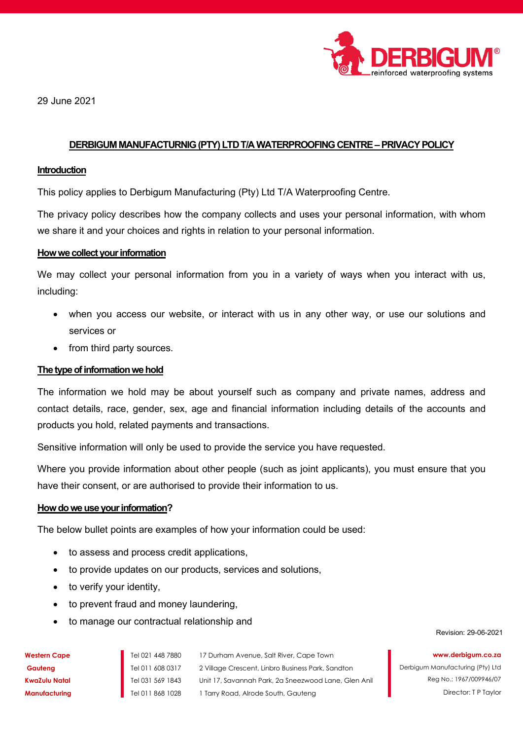

29 June 2021

# DERBIGUM MANUFACTURNIG (PTY) LTD T/A WATERPROOFING CENTRE – PRIVACY POLICY

### Introduction

This policy applies to Derbigum Manufacturing (Pty) Ltd T/A Waterproofing Centre.

The privacy policy describes how the company collects and uses your personal information, with whom we share it and your choices and rights in relation to your personal information.

#### How we collect your information

We may collect your personal information from you in a variety of ways when you interact with us, including:

- when you access our website, or interact with us in any other way, or use our solutions and services or
- from third party sources.

# The type of information we hold

The information we hold may be about yourself such as company and private names, address and contact details, race, gender, sex, age and financial information including details of the accounts and products you hold, related payments and transactions.

Sensitive information will only be used to provide the service you have requested.

Where you provide information about other people (such as joint applicants), you must ensure that you have their consent, or are authorised to provide their information to us.

#### How do we use your information?

The below bullet points are examples of how your information could be used:

- to assess and process credit applications,
- to provide updates on our products, services and solutions,
- to verify your identity,
- to prevent fraud and money laundering,
- to manage our contractual relationship and

Revision: 29-06-2021

www.derbigum.co.za

| Nestern Cape  |  |
|---------------|--|
| Gauteng       |  |
| (waZulu Natal |  |
| Manufacturing |  |

Tel 021 448 7880 17 Durham Avenue, Salt River, Cape Town Tel 011 608 0317 2 Village Crescent, Linbro Business Park, Sandton Tel 031 569 1843 Unit 17, Savannah Park, 2a Sneezwood Lane, Glen Anil Tel 011 868 1028 1 Tarry Road, Alrode South, Gauteng

Reg No.: 1967/009946/07

Derbigum Manufacturing (Pty) Ltd

Director: T P Taylor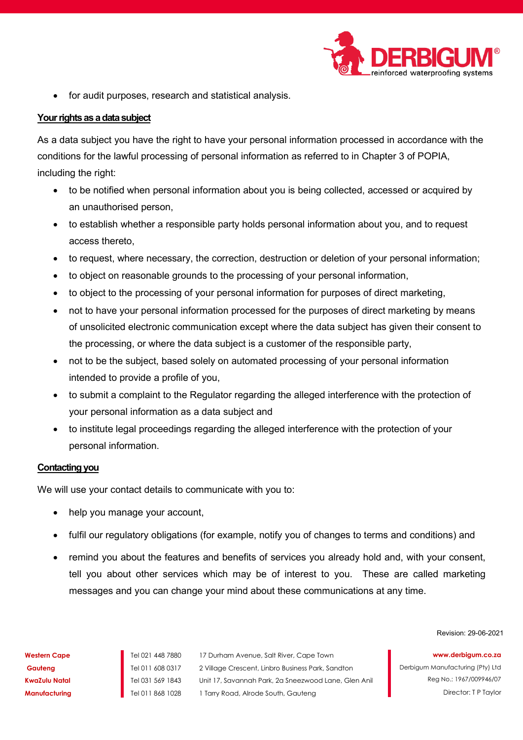

for audit purposes, research and statistical analysis.

# Your rights as a data subject

As a data subject you have the right to have your personal information processed in accordance with the conditions for the lawful processing of personal information as referred to in Chapter 3 of POPIA, including the right:

- to be notified when personal information about you is being collected, accessed or acquired by an unauthorised person,
- to establish whether a responsible party holds personal information about you, and to request access thereto,
- to request, where necessary, the correction, destruction or deletion of your personal information;
- to object on reasonable grounds to the processing of your personal information,
- to object to the processing of your personal information for purposes of direct marketing,
- not to have your personal information processed for the purposes of direct marketing by means of unsolicited electronic communication except where the data subject has given their consent to the processing, or where the data subject is a customer of the responsible party,
- not to be the subject, based solely on automated processing of your personal information intended to provide a profile of you,
- to submit a complaint to the Regulator regarding the alleged interference with the protection of your personal information as a data subject and
- to institute legal proceedings regarding the alleged interference with the protection of your personal information.

# Contacting you

We will use your contact details to communicate with you to:

- help you manage your account,
- fulfil our regulatory obligations (for example, notify you of changes to terms and conditions) and
- remind you about the features and benefits of services you already hold and, with your consent, tell you about other services which may be of interest to you. These are called marketing messages and you can change your mind about these communications at any time.

Revision: 29-06-2021

Western Cape Tel 021 448 7880 17 Durham Avenue, Salt River, Cape Town Gauteng Tel 011 608 0317 2 Village Crescent, Linbro Business Park, Sandton KwaZulu Natal Tel 031 569 1843 Unit 17, Savannah Park, 2a Sneezwood Lane, Glen Anil **Manufacturing Tel 011 868 1028 1 Tarry Road, Alrode South, Gauteng** 

www.derbigum.co.za

Derbigum Manufacturing (Pty) Ltd Reg No.: 1967/009946/07 Director: T P Taylor